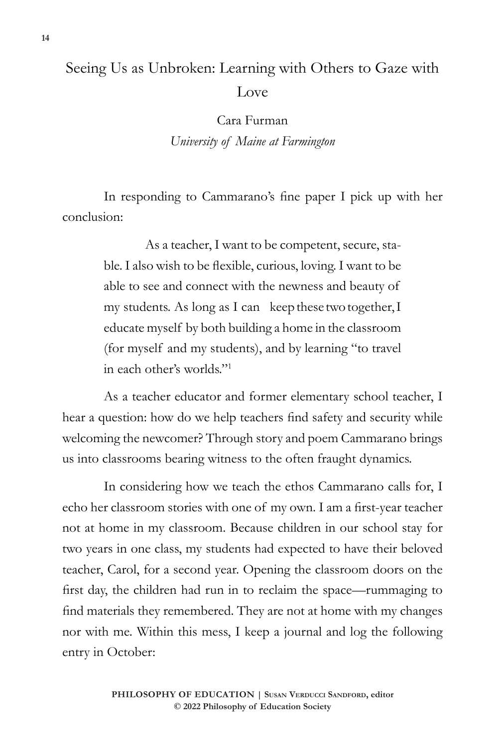## Seeing Us as Unbroken: Learning with Others to Gaze with Love

Cara Furman *University of Maine at Farmington*

In responding to Cammarano's fine paper I pick up with her conclusion:

> As a teacher, I want to be competent, secure, stable. I also wish to be flexible, curious, loving. I want to be able to see and connect with the newness and beauty of my students. As long as I can keep these two together, I educate myself by both building a home in the classroom (for myself and my students), and by learning "to travel in each other's worlds."<sup>1</sup>

As a teacher educator and former elementary school teacher, I hear a question: how do we help teachers find safety and security while welcoming the newcomer? Through story and poem Cammarano brings us into classrooms bearing witness to the often fraught dynamics.

In considering how we teach the ethos Cammarano calls for, I echo her classroom stories with one of my own. I am a first-year teacher not at home in my classroom. Because children in our school stay for two years in one class, my students had expected to have their beloved teacher, Carol, for a second year. Opening the classroom doors on the first day, the children had run in to reclaim the space—rummaging to find materials they remembered. They are not at home with my changes nor with me. Within this mess, I keep a journal and log the following entry in October: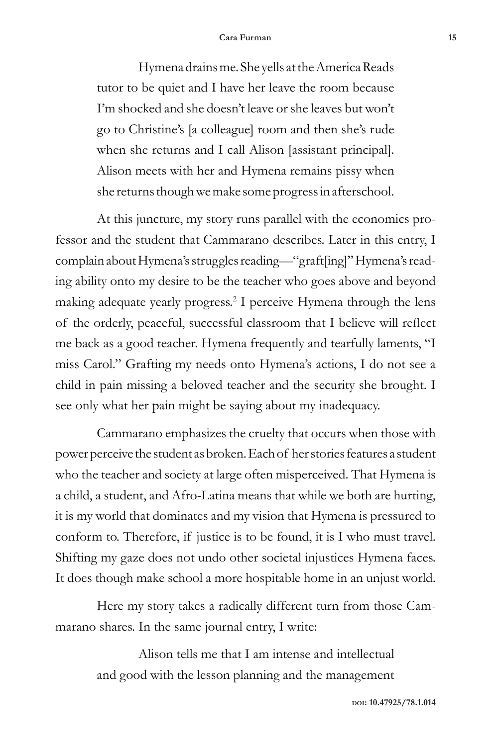## **Cara Furman 15**

Hymena drains me. She yells at the America Reads tutor to be quiet and I have her leave the room because I'm shocked and she doesn't leave or she leaves but won't go to Christine's [a colleague] room and then she's rude when she returns and I call Alison [assistant principal]. Alison meets with her and Hymena remains pissy when she returns though we make some progress in afterschool.

At this juncture, my story runs parallel with the economics professor and the student that Cammarano describes. Later in this entry, I complain about Hymena's struggles reading—"graft[ing]" Hymena's reading ability onto my desire to be the teacher who goes above and beyond making adequate yearly progress.<sup>2</sup> I perceive Hymena through the lens of the orderly, peaceful, successful classroom that I believe will reflect me back as a good teacher. Hymena frequently and tearfully laments, "I miss Carol." Grafting my needs onto Hymena's actions, I do not see a child in pain missing a beloved teacher and the security she brought. I see only what her pain might be saying about my inadequacy.

Cammarano emphasizes the cruelty that occurs when those with power perceive the student as broken. Each of her stories features a student who the teacher and society at large often misperceived. That Hymena is a child, a student, and Afro-Latina means that while we both are hurting, it is my world that dominates and my vision that Hymena is pressured to conform to. Therefore, if justice is to be found, it is I who must travel. Shifting my gaze does not undo other societal injustices Hymena faces. It does though make school a more hospitable home in an unjust world.

Here my story takes a radically different turn from those Cammarano shares. In the same journal entry, I write:

> Alison tells me that I am intense and intellectual and good with the lesson planning and the management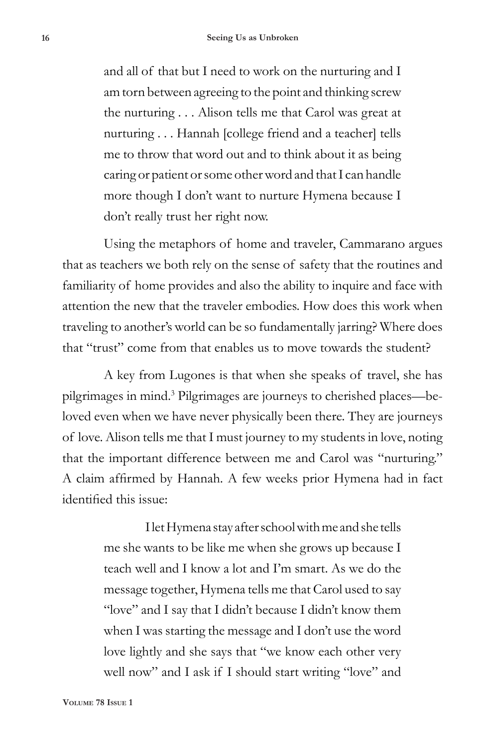and all of that but I need to work on the nurturing and I am torn between agreeing to the point and thinking screw the nurturing . . . Alison tells me that Carol was great at nurturing . . . Hannah [college friend and a teacher] tells me to throw that word out and to think about it as being caring or patient or some other word and that I can handle more though I don't want to nurture Hymena because I don't really trust her right now.

Using the metaphors of home and traveler, Cammarano argues that as teachers we both rely on the sense of safety that the routines and familiarity of home provides and also the ability to inquire and face with attention the new that the traveler embodies. How does this work when traveling to another's world can be so fundamentally jarring? Where does that "trust" come from that enables us to move towards the student?

A key from Lugones is that when she speaks of travel, she has pilgrimages in mind.<sup>3</sup> Pilgrimages are journeys to cherished places—beloved even when we have never physically been there. They are journeys of love. Alison tells me that I must journey to my students in love, noting that the important difference between me and Carol was "nurturing." A claim affirmed by Hannah. A few weeks prior Hymena had in fact identified this issue:

> I let Hymena stay after school with me and she tells me she wants to be like me when she grows up because I teach well and I know a lot and I'm smart. As we do the message together, Hymena tells me that Carol used to say "love" and I say that I didn't because I didn't know them when I was starting the message and I don't use the word love lightly and she says that "we know each other very well now" and I ask if I should start writing "love" and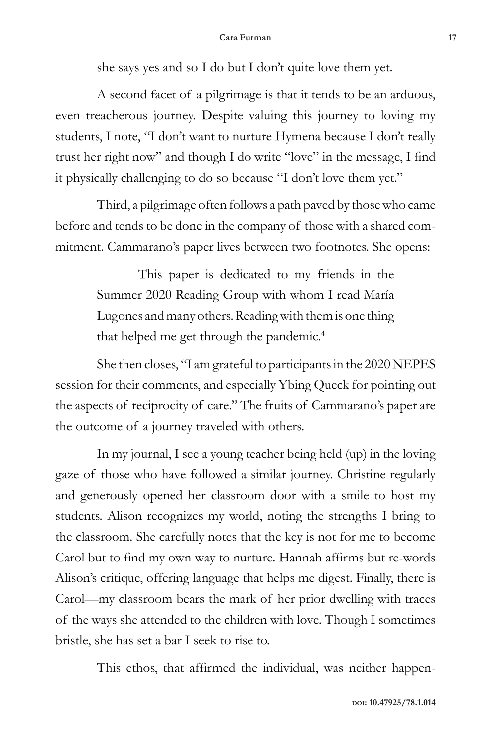she says yes and so I do but I don't quite love them yet.

A second facet of a pilgrimage is that it tends to be an arduous, even treacherous journey. Despite valuing this journey to loving my students, I note, "I don't want to nurture Hymena because I don't really trust her right now" and though I do write "love" in the message, I find it physically challenging to do so because "I don't love them yet."

Third, a pilgrimage often follows a path paved by those who came before and tends to be done in the company of those with a shared commitment. Cammarano's paper lives between two footnotes. She opens:

> This paper is dedicated to my friends in the Summer 2020 Reading Group with whom I read María Lugones and many others. Reading with them is one thing that helped me get through the pandemic.<sup>4</sup>

She then closes, "I am grateful to participants in the 2020 NEPES session for their comments, and especially Ybing Queck for pointing out the aspects of reciprocity of care." The fruits of Cammarano's paper are the outcome of a journey traveled with others.

In my journal, I see a young teacher being held (up) in the loving gaze of those who have followed a similar journey. Christine regularly and generously opened her classroom door with a smile to host my students. Alison recognizes my world, noting the strengths I bring to the classroom. She carefully notes that the key is not for me to become Carol but to find my own way to nurture. Hannah affirms but re-words Alison's critique, offering language that helps me digest. Finally, there is Carol—my classroom bears the mark of her prior dwelling with traces of the ways she attended to the children with love. Though I sometimes bristle, she has set a bar I seek to rise to.

This ethos, that affirmed the individual, was neither happen-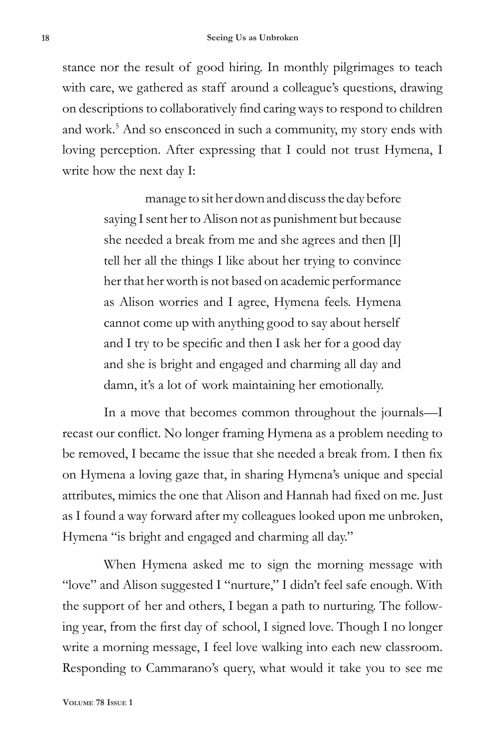stance nor the result of good hiring. In monthly pilgrimages to teach with care, we gathered as staff around a colleague's questions, drawing on descriptions to collaboratively find caring ways to respond to children and work.<sup>5</sup> And so ensconced in such a community, my story ends with loving perception. After expressing that I could not trust Hymena, I write how the next day I:

> manage to sit her down and discuss the day before saying I sent her to Alison not as punishment but because she needed a break from me and she agrees and then [I] tell her all the things I like about her trying to convince her that her worth is not based on academic performance as Alison worries and I agree, Hymena feels. Hymena cannot come up with anything good to say about herself and I try to be specific and then I ask her for a good day and she is bright and engaged and charming all day and damn, it's a lot of work maintaining her emotionally.

In a move that becomes common throughout the journals—I recast our conflict. No longer framing Hymena as a problem needing to be removed, I became the issue that she needed a break from. I then fix on Hymena a loving gaze that, in sharing Hymena's unique and special attributes, mimics the one that Alison and Hannah had fixed on me. Just as I found a way forward after my colleagues looked upon me unbroken, Hymena "is bright and engaged and charming all day."

When Hymena asked me to sign the morning message with "love" and Alison suggested I "nurture," I didn't feel safe enough. With the support of her and others, I began a path to nurturing. The following year, from the first day of school, I signed love. Though I no longer write a morning message, I feel love walking into each new classroom. Responding to Cammarano's query, what would it take you to see me